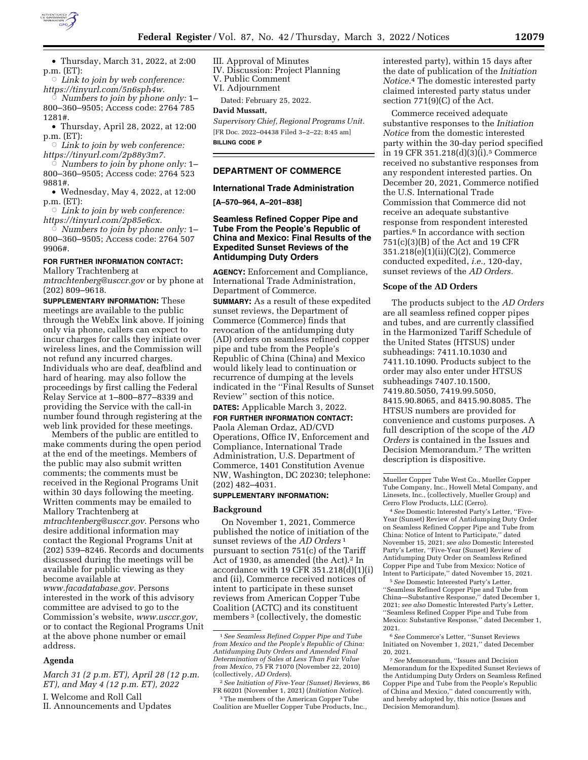

Æ *Link to join by web conference: https://tinyurl.com/5n6sph4w.* 

Æ *Numbers to join by phone only:* 1– 800–360–9505; Access code: 2764 785 1281#.

• Thursday, April 28, 2022, at 12:00 p.m. (ET):

Æ *Link to join by web conference: https://tinyurl.com/2p88y3m7.* 

Æ *Numbers to join by phone only:* 1– 800–360–9505; Access code: 2764 523 9881#.

• Wednesday, May 4, 2022, at 12:00 p.m. (ET):

 $\circ$  Link to join by web conference: *https://tinyurl.com/2p85e6cx.* 

Æ *Numbers to join by phone only:* 1– 800–360–9505; Access code: 2764 507 9906#.

# **FOR FURTHER INFORMATION CONTACT:**

Mallory Trachtenberg at *mtrachtenberg@usccr.gov* or by phone at

(202) 809–9618. **SUPPLEMENTARY INFORMATION:** These meetings are available to the public through the WebEx link above. If joining only via phone, callers can expect to incur charges for calls they initiate over wireless lines, and the Commission will not refund any incurred charges. Individuals who are deaf, deafblind and hard of hearing. may also follow the proceedings by first calling the Federal Relay Service at 1–800–877–8339 and providing the Service with the call-in number found through registering at the web link provided for these meetings.

Members of the public are entitled to make comments during the open period at the end of the meetings. Members of the public may also submit written comments; the comments must be received in the Regional Programs Unit within 30 days following the meeting. Written comments may be emailed to Mallory Trachtenberg at *mtrachtenberg@usccr.gov.* Persons who desire additional information may contact the Regional Programs Unit at (202) 539–8246. Records and documents discussed during the meetings will be available for public viewing as they become available at *www.facadatabase.gov.* Persons interested in the work of this advisory committee are advised to go to the

Commission's website, *www.usccr.gov,*  or to contact the Regional Programs Unit at the above phone number or email address.

### **Agenda**

*March 31 (2 p.m. ET), April 28 (12 p.m. ET), and May 4 (12 p.m. ET), 2022* 

I. Welcome and Roll Call

II. Announcements and Updates

III. Approval of Minutes

IV. Discussion: Project Planning

V. Public Comment

VI. Adjournment

Dated: February 25, 2022.

### **David Mussatt,**

*Supervisory Chief, Regional Programs Unit.*  [FR Doc. 2022–04438 Filed 3–2–22; 8:45 am] **BILLING CODE P** 

# **DEPARTMENT OF COMMERCE**

# **International Trade Administration**

**[A–570–964, A–201–838]** 

# **Seamless Refined Copper Pipe and Tube From the People's Republic of China and Mexico: Final Results of the Expedited Sunset Reviews of the Antidumping Duty Orders**

**AGENCY:** Enforcement and Compliance, International Trade Administration, Department of Commerce. **SUMMARY:** As a result of these expedited sunset reviews, the Department of Commerce (Commerce) finds that revocation of the antidumping duty (AD) orders on seamless refined copper pipe and tube from the People's Republic of China (China) and Mexico would likely lead to continuation or recurrence of dumping at the levels indicated in the ''Final Results of Sunset Review'' section of this notice.

# **DATES:** Applicable March 3, 2022. **FOR FURTHER INFORMATION CONTACT:**

Paola Aleman Ordaz, AD/CVD Operations, Office IV, Enforcement and Compliance, International Trade Administration, U.S. Department of Commerce, 1401 Constitution Avenue NW, Washington, DC 20230; telephone: (202) 482–4031.

### **SUPPLEMENTARY INFORMATION:**

#### **Background**

On November 1, 2021, Commerce published the notice of initiation of the sunset reviews of the *AD Orders* 1 pursuant to section 751(c) of the Tariff Act of 1930, as amended (the Act).<sup>2</sup> In accordance with 19 CFR 351.218(d)(1)(i) and (ii), Commerce received notices of intent to participate in these sunset reviews from American Copper Tube Coalition (ACTC) and its constituent members 3 (collectively, the domestic

2*See Initiation of Five-Year (Sunset) Reviews,* 86 FR 60201 (November 1, 2021) (*Initiation Notice*).

3The members of the American Copper Tube Coalition are Mueller Copper Tube Products, Inc., interested party), within 15 days after the date of publication of the *Initiation Notice.*4 The domestic interested party claimed interested party status under section 771(9)(C) of the Act.

Commerce received adequate substantive responses to the *Initiation Notice* from the domestic interested party within the 30-day period specified in 19 CFR 351.218(d)(3)(i).5 Commerce received no substantive responses from any respondent interested parties. On December 20, 2021, Commerce notified the U.S. International Trade Commission that Commerce did not receive an adequate substantive response from respondent interested parties.6 In accordance with section 751(c)(3)(B) of the Act and 19 CFR 351.218(e)(1)(ii)(C)(2), Commerce conducted expedited, *i.e.,* 120-day, sunset reviews of the *AD Orders.* 

### **Scope of the AD Orders**

The products subject to the *AD Orders*  are all seamless refined copper pipes and tubes, and are currently classified in the Harmonized Tariff Schedule of the United States (HTSUS) under subheadings: 7411.10.1030 and 7411.10.1090. Products subject to the order may also enter under HTSUS subheadings 7407.10.1500, 7419.80.5050, 7419.99.5050, 8415.90.8065, and 8415.90.8085. The HTSUS numbers are provided for convenience and customs purposes. A full description of the scope of the *AD Orders* is contained in the Issues and Decision Memorandum.7 The written description is dispositive.

4*See* Domestic Interested Party's Letter, ''Five-Year (Sunset) Review of Antidumping Duty Order on Seamless Refined Copper Pipe and Tube from China: Notice of Intent to Participate,'' dated November 15, 2021; *see also* Domestic Interested Party's Letter, ''Five-Year (Sunset) Review of Antidumping Duty Order on Seamless Refined Copper Pipe and Tube from Mexico: Notice of Intent to Participate,'' dated November 15, 2021.

5*See* Domestic Interested Party's Letter, ''Seamless Refined Copper Pipe and Tube from China—Substantive Response,'' dated December 1, 2021; *see also* Domestic Interested Party's Letter, ''Seamless Refined Copper Pipe and Tube from Mexico: Substantive Response,'' dated December 1, 2021.

6*See* Commerce's Letter, ''Sunset Reviews Initiated on November 1, 2021,'' dated December 20, 2021.

<sup>1</sup>*See Seamless Refined Copper Pipe and Tube from Mexico and the People's Republic of China: Antidumping Duty Orders and Amended Final Determination of Sales at Less Than Fair Value from Mexico,* 75 FR 71070 (November 22, 2010) (collectively, *AD Orders*).

Mueller Copper Tube West Co., Mueller Copper Tube Company, Inc., Howell Metal Company, and Linesets, Inc., (collectively, Mueller Group) and Cerro Flow Products, LLC (Cerro).

<sup>7</sup>*See* Memorandum, ''Issues and Decision Memorandum for the Expedited Sunset Reviews of the Antidumping Duty Orders on Seamless Refined Copper Pipe and Tube from the People's Republic of China and Mexico,'' dated concurrently with, and hereby adopted by, this notice (Issues and Decision Memorandum).